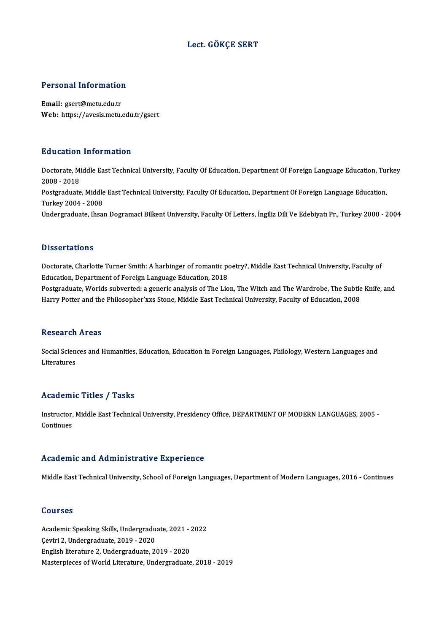## Lect. GÖKÇE SERT

# Personal Information

Personal Information<br>Email: gsert@metu.edu.tr<br>Web: https://avasis.metu. Email: gsert@metu.edu.tr<br>Web: https://avesis.metu.edu.tr/gsert

## Education Information

**Education Information**<br>Doctorate, Middle East Technical University, Faculty Of Education, Department Of Foreign Language Education, Turkey<br>2008 - 2018 2008 -2018<br>2008 - 2018<br>Postaraduata Doctorate, Middle East Technical University, Faculty Of Education, Department Of Foreign Language Education, Tu<br>2008 - 2018<br>Postgraduate, Middle East Technical University, Faculty Of Education, Department Of Foreign Langua 2008 - 2018<br>Postgraduate, Middle<br>Turkey 2004 - 2008<br>Undergraduate, Ibsel Turkey 2004 - 2008<br>Undergraduate, Ihsan Dogramaci Bilkent University, Faculty Of Letters, İngiliz Dili Ve Edebiyatı Pr., Turkey 2000 - 2004

## **Dissertations**

Dissertations<br>Doctorate, Charlotte Turner Smith: A harbinger of romantic poetry?, Middle East Technical University, Faculty of<br>Education, Denertment of Foreign Language Education, 2018 Existentiations<br>Doctorate, Charlotte Turner Smith: A harbinger of romantic po<br>Education, Department of Foreign Language Education, 2018<br>Postaveduate, Worlds subverted: a generic analysis of The Lie Doctorate, Charlotte Turner Smith: A harbinger of romantic poetry?, Middle East Technical University, Faculty of<br>Education, Department of Foreign Language Education, 2018<br>Postgraduate, Worlds subverted: a generic analysis

Education, Department of Foreign Language Education, 2018<br>Postgraduate, Worlds subverted: a generic analysis of The Lion, The Witch and The Wardrobe, The Subtle Knife, and<br>Harry Potter and the Philosopher'xxs Stone, Middle

## **Research Areas**

Research Areas<br>Social Sciences and Humanities, Education, Education in Foreign Languages, Philology, Western Languages and<br>Literatures Resear en<br>Social Scien<br>Literatures

## Academic Titles / Tasks

Academic Titles / Tasks<br>Instructor, Middle East Technical University, Presidency Office, DEPARTMENT OF MODERN LANGUAGES, 2005 -<br>Continues Instructor,<br>Instructor,<br>Continues Academic and Administrative Experience

Middle East Technical University, School of Foreign Languages, Department of Modern Languages, 2016 - Continues

## Courses

Courses<br>Academic Speaking Skills, Undergraduate, 2021 - 2022<br>Cevini 3, Undergraduate, 2019 - 2020 **COUTSOS<br>Academic Speaking Skills, Undergradu<br>Çeviri 2, Undergraduate, 2019 - 2020<br>English literature 2, Undergraduate, 2:** Çeviri 2, Undergraduate, 2019 - 2020<br>English literature 2, Undergraduate, 2019 - 2020 Masterpieces of World Literature, Undergraduate, 2018 - 2019